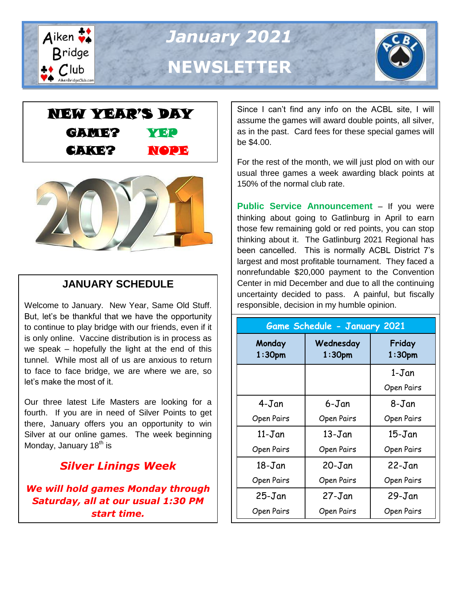

*January 2021* **NEWSLETTER**







# **JANUARY SCHEDULE**

Welcome to January. New Year, Same Old Stuff. But, let's be thankful that we have the opportunity to continue to play bridge with our friends, even if it is only online. Vaccine distribution is in process as we speak – hopefully the light at the end of this tunnel. While most all of us are anxious to return to face to face bridge, we are where we are, so let's make the most of it.

Our three latest Life Masters are looking for a fourth. If you are in need of Silver Points to get there, January offers you an opportunity to win Silver at our online games. The week beginning Monday, January  $18<sup>th</sup>$  is

# *Silver Linings Week*

*We will hold games Monday through Saturday, all at our usual 1:30 PM start time.*

Since I can't find any info on the ACBL site, I will assume the games will award double points, all silver, as in the past. Card fees for these special games will be \$4.00.

For the rest of the month, we will just plod on with our usual three games a week awarding black points at 150% of the normal club rate.

**Public Service Announcement** – If you were thinking about going to Gatlinburg in April to earn those few remaining gold or red points, you can stop thinking about it. The Gatlinburg 2021 Regional has been cancelled. This is normally ACBL District 7's largest and most profitable tournament. They faced a nonrefundable \$20,000 payment to the Convention Center in mid December and due to all the continuing uncertainty decided to pass. A painful, but fiscally responsible, decision in my humble opinion.

| <b>Game Schedule - January 2021</b> |                        |                              |  |  |  |  |  |  |
|-------------------------------------|------------------------|------------------------------|--|--|--|--|--|--|
| Monday<br>1:30 <sub>pm</sub>        | Wednesday<br>$1:30$ pm | Friday<br>1:30 <sub>pm</sub> |  |  |  |  |  |  |
|                                     |                        | 1-Jan                        |  |  |  |  |  |  |
|                                     |                        | Open Pairs                   |  |  |  |  |  |  |
| 4-Jan                               | 6-Jan                  | 8-Jan                        |  |  |  |  |  |  |
| Open Pairs                          | Open Pairs             | Open Pairs                   |  |  |  |  |  |  |
| 11-Jan                              | $13 - Jan$             | $15$ -Jan                    |  |  |  |  |  |  |
| Open Pairs                          | Open Pairs             | Open Pairs                   |  |  |  |  |  |  |
| $18$ -Jan                           | $20 - Jan$             | $22 - Jan$                   |  |  |  |  |  |  |
| Open Pairs                          | Open Pairs             | Open Pairs                   |  |  |  |  |  |  |
| $25 - Jan$                          | $27 - Jan$             | $29 - Jan$                   |  |  |  |  |  |  |
| Open Pairs                          | Open Pairs             | Open Pairs                   |  |  |  |  |  |  |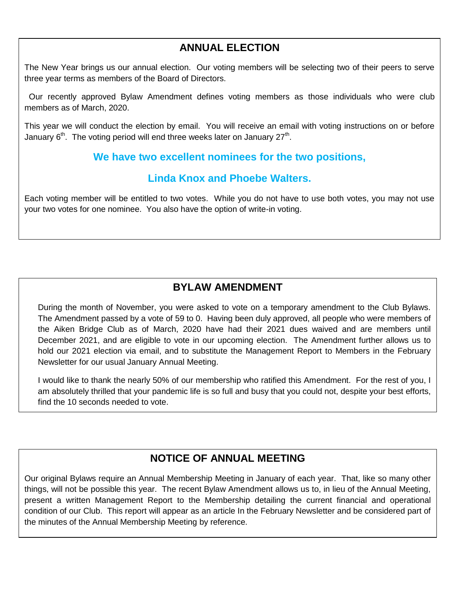### **ANNUAL ELECTION**

The New Year brings us our annual election. Our voting members will be selecting two of their peers to serve three year terms as members of the Board of Directors.

 Our recently approved Bylaw Amendment defines voting members as those individuals who were club members as of March, 2020.

This year we will conduct the election by email. You will receive an email with voting instructions on or before January 6<sup>th</sup>. The voting period will end three weeks later on January 27<sup>th</sup>.

#### **We have two excellent nominees for the two positions,**

#### **Linda Knox and Phoebe Walters.**

Each voting member will be entitled to two votes. While you do not have to use both votes, you may not use your two votes for one nominee. You also have the option of write-in voting.

## **BYLAW AMENDMENT**

During the month of November, you were asked to vote on a temporary amendment to the Club Bylaws. The Amendment passed by a vote of 59 to 0. Having been duly approved, all people who were members of the Aiken Bridge Club as of March, 2020 have had their 2021 dues waived and are members until December 2021, and are eligible to vote in our upcoming election. The Amendment further allows us to hold our 2021 election via email, and to substitute the Management Report to Members in the February Newsletter for our usual January Annual Meeting.

I would like to thank the nearly 50% of our membership who ratified this Amendment. For the rest of you, I am absolutely thrilled that your pandemic life is so full and busy that you could not, despite your best efforts, find the 10 seconds needed to vote.

### **NOTICE OF ANNUAL MEETING**

Our original Bylaws require an Annual Membership Meeting in January of each year. That, like so many other things, will not be possible this year. The recent Bylaw Amendment allows us to, in lieu of the Annual Meeting, present a written Management Report to the Membership detailing the current financial and operational condition of our Club. This report will appear as an article In the February Newsletter and be considered part of the minutes of the Annual Membership Meeting by reference.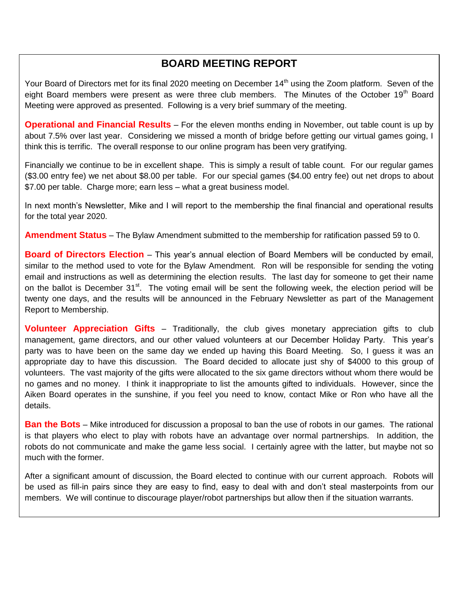## **BOARD MEETING REPORT**

Your Board of Directors met for its final 2020 meeting on December 14<sup>th</sup> using the Zoom platform. Seven of the eight Board members were present as were three club members. The Minutes of the October 19<sup>th</sup> Board Meeting were approved as presented. Following is a very brief summary of the meeting.

**Operational and Financial Results** – For the eleven months ending in November, out table count is up by about 7.5% over last year. Considering we missed a month of bridge before getting our virtual games going, I think this is terrific. The overall response to our online program has been very gratifying.

Financially we continue to be in excellent shape. This is simply a result of table count. For our regular games (\$3.00 entry fee) we net about \$8.00 per table. For our special games (\$4.00 entry fee) out net drops to about \$7.00 per table. Charge more; earn less – what a great business model.

In next month's Newsletter, Mike and I will report to the membership the final financial and operational results for the total year 2020.

**Amendment Status** – The Bylaw Amendment submitted to the membership for ratification passed 59 to 0.

**Board of Directors Election** – This year's annual election of Board Members will be conducted by email, similar to the method used to vote for the Bylaw Amendment. Ron will be responsible for sending the voting email and instructions as well as determining the election results. The last day for someone to get their name on the ballot is December  $31^{st}$ . The voting email will be sent the following week, the election period will be twenty one days, and the results will be announced in the February Newsletter as part of the Management Report to Membership.

**Volunteer Appreciation Gifts** – Traditionally, the club gives monetary appreciation gifts to club management, game directors, and our other valued volunteers at our December Holiday Party. This year's party was to have been on the same day we ended up having this Board Meeting. So, I guess it was an appropriate day to have this discussion. The Board decided to allocate just shy of \$4000 to this group of volunteers. The vast majority of the gifts were allocated to the six game directors without whom there would be no games and no money. I think it inappropriate to list the amounts gifted to individuals. However, since the Aiken Board operates in the sunshine, if you feel you need to know, contact Mike or Ron who have all the details.

**Ban the Bots** – Mike introduced for discussion a proposal to ban the use of robots in our games. The rational is that players who elect to play with robots have an advantage over normal partnerships. In addition, the robots do not communicate and make the game less social. I certainly agree with the latter, but maybe not so much with the former.

After a significant amount of discussion, the Board elected to continue with our current approach. Robots will be used as fill-in pairs since they are easy to find, easy to deal with and don't steal masterpoints from our members. We will continue to discourage player/robot partnerships but allow then if the situation warrants.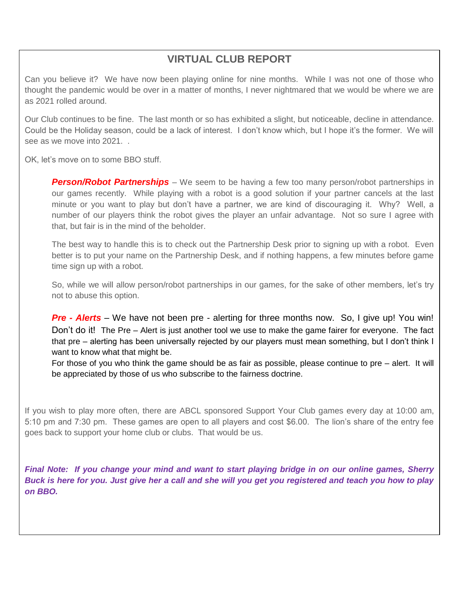## **VIRTUAL CLUB REPORT**

Can you believe it? We have now been playing online for nine months. While I was not one of those who thought the pandemic would be over in a matter of months, I never nightmared that we would be where we are as 2021 rolled around.

Our Club continues to be fine. The last month or so has exhibited a slight, but noticeable, decline in attendance. Could be the Holiday season, could be a lack of interest. I don't know which, but I hope it's the former. We will see as we move into 2021. .

OK, let's move on to some BBO stuff.

**Person/Robot Partnerships** – We seem to be having a few too many person/robot partnerships in our games recently. While playing with a robot is a good solution if your partner cancels at the last minute or you want to play but don't have a partner, we are kind of discouraging it. Why? Well, a number of our players think the robot gives the player an unfair advantage. Not so sure I agree with that, but fair is in the mind of the beholder.

The best way to handle this is to check out the Partnership Desk prior to signing up with a robot. Even better is to put your name on the Partnership Desk, and if nothing happens, a few minutes before game time sign up with a robot.

So, while we will allow person/robot partnerships in our games, for the sake of other members, let's try not to abuse this option.

*Pre - Alerts* – We have not been pre - alerting for three months now. So, I give up! You win! Don't do it! The Pre – Alert is just another tool we use to make the game fairer for everyone. The fact that pre – alerting has been universally rejected by our players must mean something, but I don't think I want to know what that might be.

For those of you who think the game should be as fair as possible, please continue to pre – alert. It will be appreciated by those of us who subscribe to the fairness doctrine.

If you wish to play more often, there are ABCL sponsored Support Your Club games every day at 10:00 am, 5:10 pm and 7:30 pm. These games are open to all players and cost \$6.00. The lion's share of the entry fee goes back to support your home club or clubs. That would be us.

*Final Note: If you change your mind and want to start playing bridge in on our online games, Sherry Buck is here for you. Just give her a call and she will you get you registered and teach you how to play on BBO.*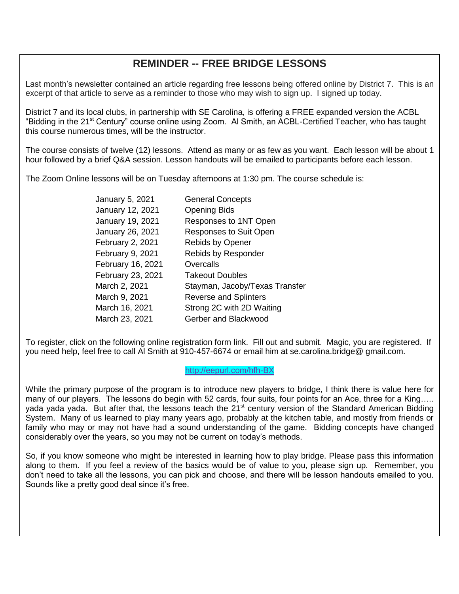### **REMINDER -- FREE BRIDGE LESSONS**

Last month's newsletter contained an article regarding free lessons being offered online by District 7. This is an excerpt of that article to serve as a reminder to those who may wish to sign up. I signed up today.

District 7 and its local clubs, in partnership with SE Carolina, is offering a FREE expanded version the ACBL "Bidding in the 21<sup>st</sup> Century" course online using Zoom. Al Smith, an ACBL-Certified Teacher, who has taught this course numerous times, will be the instructor.

The course consists of twelve (12) lessons. Attend as many or as few as you want. Each lesson will be about 1 hour followed by a brief Q&A session. Lesson handouts will be emailed to participants before each lesson.

The Zoom Online lessons will be on Tuesday afternoons at 1:30 pm. The course schedule is:

| January 5, 2021   | <b>General Concepts</b>        |
|-------------------|--------------------------------|
| January 12, 2021  | <b>Opening Bids</b>            |
| January 19, 2021  | Responses to 1NT Open          |
| January 26, 2021  | <b>Responses to Suit Open</b>  |
| February 2, 2021  | <b>Rebids by Opener</b>        |
| February 9, 2021  | Rebids by Responder            |
| February 16, 2021 | Overcalls                      |
| February 23, 2021 | <b>Takeout Doubles</b>         |
| March 2, 2021     | Stayman, Jacoby/Texas Transfer |
| March 9, 2021     | <b>Reverse and Splinters</b>   |
| March 16, 2021    | Strong 2C with 2D Waiting      |
| March 23, 2021    | Gerber and Blackwood           |

To register, click on the following online registration form link. Fill out and submit. Magic, you are registered. If you need help, feel free to call Al Smith at 910-457-6674 or email him at se.carolina.bridge@ gmail.com.

<http://eepurl.com/hfh-BX>

While the primary purpose of the program is to introduce new players to bridge, I think there is value here for many of our players. The lessons do begin with 52 cards, four suits, four points for an Ace, three for a King..... yada yada yada. But after that, the lessons teach the 21<sup>st</sup> century version of the Standard American Bidding System. Many of us learned to play many years ago, probably at the kitchen table, and mostly from friends or family who may or may not have had a sound understanding of the game. Bidding concepts have changed considerably over the years, so you may not be current on today's methods.

So, if you know someone who might be interested in learning how to play bridge. Please pass this information along to them. If you feel a review of the basics would be of value to you, please sign up. Remember, you don't need to take all the lessons, you can pick and choose, and there will be lesson handouts emailed to you. Sounds like a pretty good deal since it's free.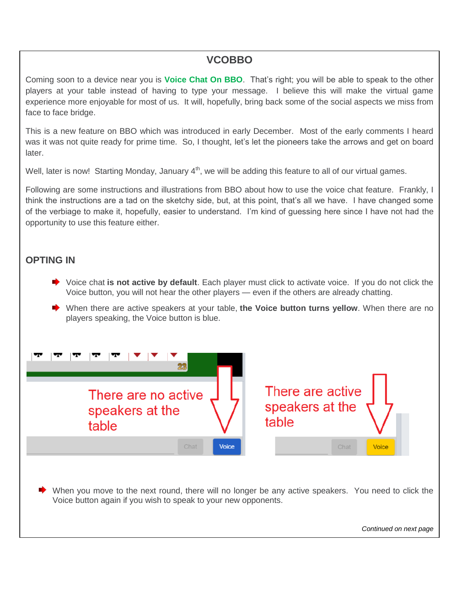#### **VCOBBO**

Coming soon to a device near you is **Voice Chat On BBO**. That's right; you will be able to speak to the other players at your table instead of having to type your message. I believe this will make the virtual game experience more enjoyable for most of us. It will, hopefully, bring back some of the social aspects we miss from face to face bridge.

This is a new feature on BBO which was introduced in early December. Most of the early comments I heard was it was not quite ready for prime time. So, I thought, let's let the pioneers take the arrows and get on board later.

Well, later is now! Starting Monday, January  $4<sup>th</sup>$ , we will be adding this feature to all of our virtual games.

Following are some instructions and illustrations from BBO about how to use the voice chat feature. Frankly, I think the instructions are a tad on the sketchy side, but, at this point, that's all we have. I have changed some of the verbiage to make it, hopefully, easier to understand. I'm kind of guessing here since I have not had the opportunity to use this feature either.

#### **OPTING IN**

- Voice chat **is not active by default**. Each player must click to activate voice. If you do not click the Voice button, you will not hear the other players — even if the others are already chatting.
- When there are active speakers at your table, **the Voice button turns yellow**. When there are no players speaking, the Voice button is blue.



*Continued on next page*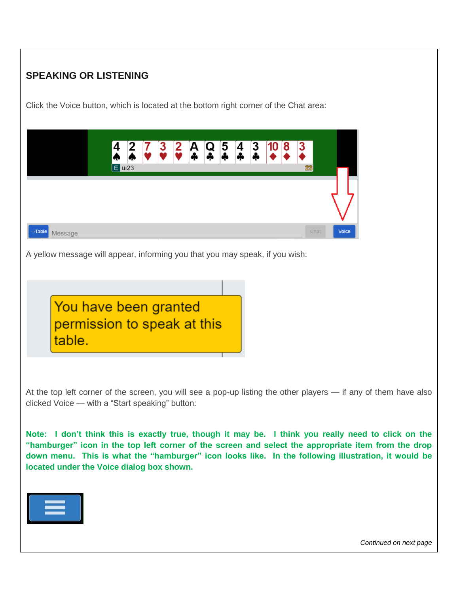### **SPEAKING OR LISTENING**

Click the Voice button, which is located at the bottom right corner of the Chat area:

|                                | $\overline{4}$ | $\overline{\mathbf{2}}$<br>♠<br>$E$ ui23 | $\overline{\mathbf{3}}$ | $\frac{2}{2}$ | А<br>Ф | Q<br>* | $\overline{5}$ | 4<br>÷ | 3<br>÷ | 10 <sup>°</sup> | 8 | 3<br>23 |              |
|--------------------------------|----------------|------------------------------------------|-------------------------|---------------|--------|--------|----------------|--------|--------|-----------------|---|---------|--------------|
|                                |                |                                          |                         |               |        |        |                |        |        |                 |   |         |              |
| $\rightarrow$ Table<br>Message |                |                                          |                         |               |        |        |                |        |        |                 |   | Chat    | <b>Voice</b> |

A yellow message will appear, informing you that you may speak, if you wish:



At the top left corner of the screen, you will see a pop-up listing the other players — if any of them have also clicked Voice — with a "Start speaking" button:

**Note: I don't think this is exactly true, though it may be. I think you really need to click on the "hamburger" icon in the top left corner of the screen and select the appropriate item from the drop down menu. This is what the "hamburger" icon looks like. In the following illustration, it would be located under the Voice dialog box shown.**



*Continued on next page*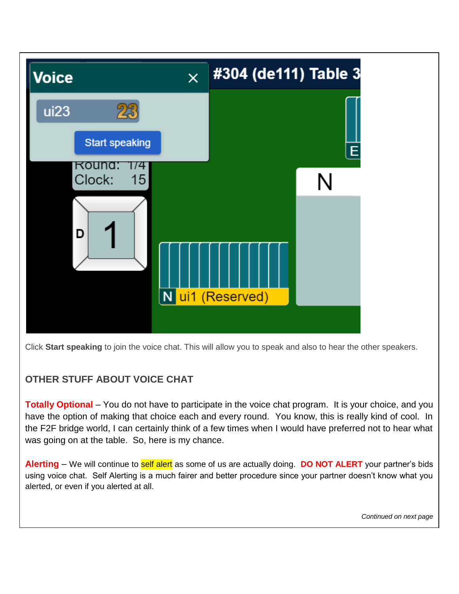

Click **Start speaking** to join the voice chat. This will allow you to speak and also to hear the other speakers.

#### **OTHER STUFF ABOUT VOICE CHAT**

**Totally Optional** – You do not have to participate in the voice chat program. It is your choice, and you have the option of making that choice each and every round. You know, this is really kind of cool. In the F2F bridge world, I can certainly think of a few times when I would have preferred not to hear what was going on at the table. So, here is my chance.

**Alerting** – We will continue to self alert as some of us are actually doing. **DO NOT ALERT** your partner's bids using voice chat. Self Alerting is a much fairer and better procedure since your partner doesn't know what you alerted, or even if you alerted at all.

*Continued on next page*